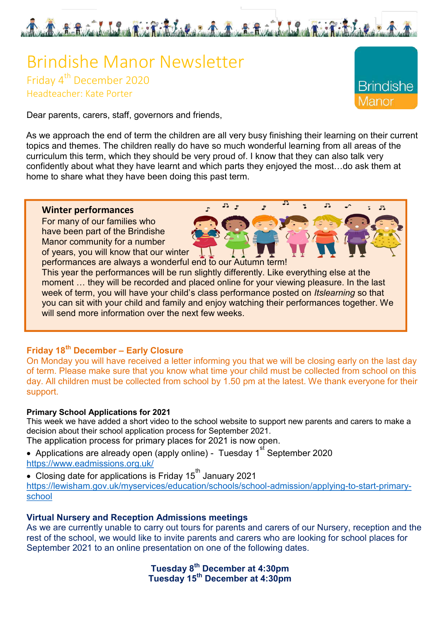

# Brindishe Manor Newsletter Friday 4<sup>th</sup> December 2020 Headteacher: Kate Porter

**Brindishe** 

 $F<sub>4</sub>$ 

 $F<sub>L</sub>$ 

Dear parents, carers, staff, governors and friends,

As we approach the end of term the children are all very busy finishing their learning on their current topics and themes. The children really do have so much wonderful learning from all areas of the curriculum this term, which they should be very proud of. I know that they can also talk very confidently about what they have learnt and which parts they enjoyed the most…do ask them at home to share what they have been doing this past term.

 $2.5$ 

#### **Winter performances**

For many of our families who have been part of the Brindishe Manor community for a number of years, you will know that our winter

performances are always a wonderful end to our Autumn term! This year the performances will be run slightly differently. Like everything else at the moment … they will be recorded and placed online for your viewing pleasure. In the last week of term, you will have your child's class performance posted on *Itslearning* so that you can sit with your child and family and enjoy watching their performances together. We will send more information over the next few weeks.

# **Friday 18th December – Early Closure**

On Monday you will have received a letter informing you that we will be closing early on the last day of term. Please make sure that you know what time your child must be collected from school on this day. All children must be collected from school by 1.50 pm at the latest. We thank everyone for their support.

#### **Primary School Applications for 2021**

This week we have added a short video to the school website to support new parents and carers to make a decision about their school application process for September 2021.

- The application process for primary places for 2021 is now open.
- Applications are already open (apply online) Tuesday 1 $^{\rm{st}}$  September 2020 <https://www.eadmissions.org.uk/>
- Closing date for applications is Friday 15<sup>th</sup> January 2021 [https://lewisham.gov.uk/myservices/education/schools/school-admission/applying-to-start-primary](https://lewisham.gov.uk/myservices/education/schools/school-admission/applying-to-start-primary-school)[school](https://lewisham.gov.uk/myservices/education/schools/school-admission/applying-to-start-primary-school)

### **Virtual Nursery and Reception Admissions meetings**

As we are currently unable to carry out tours for parents and carers of our Nursery, reception and the rest of the school, we would like to invite parents and carers who are looking for school places for September 2021 to an online presentation on one of the following dates.

> **Tuesday 8th December at 4:30pm Tuesday 15th December at 4:30pm**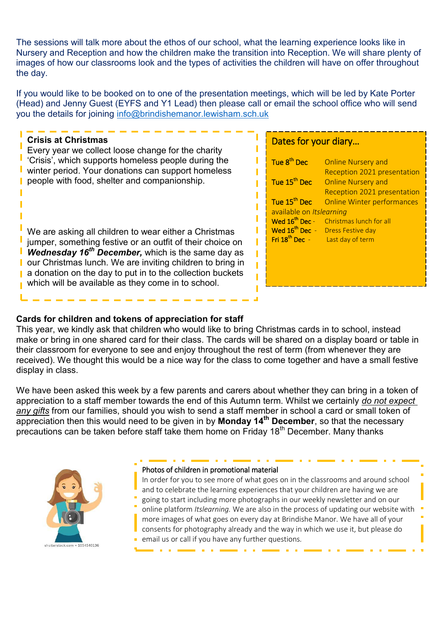The sessions will talk more about the ethos of our school, what the learning experience looks like in Nursery and Reception and how the children make the transition into Reception. We will share plenty of images of how our classrooms look and the types of activities the children will have on offer throughout the day.

If you would like to be booked on to one of the presentation meetings, which will be led by Kate Porter (Head) and Jenny Guest (EYFS and Y1 Lead) then please call or email the school office who will send you the details for joining [info@brindishemanor.lewisham.sch.uk](mailto:info@brindishemanor.lewisham.sch.uk) 

# **Crisis at Christmas**

Every year we collect loose change for the charity 'Crisis', which supports homeless people during the winter period. Your donations can support homeless ٠ people with food, shelter and companionship.

We are asking all children to wear either a Christmas jumper, something festive or an outfit of their choice on *Wednesday 16th December,* which is the same day as our Christmas lunch. We are inviting children to bring in ı a donation on the day to put in to the collection buckets which will be available as they come in to school.

# Dates for your diary…

| Tue 8 <sup>th</sup> Dec    | <b>Online Nursery and</b>         |
|----------------------------|-----------------------------------|
|                            | Reception 2021 presentation       |
| Tue 15 <sup>th</sup> Dec   | <b>Online Nursery and</b>         |
|                            | Reception 2021 presentation       |
| Tue 15 <sup>th</sup> Dec   | <b>Online Winter performances</b> |
| available on Itslearning   |                                   |
| Wed $16^{\text{th}}$ Dec - | Christmas lunch for all           |
| Wed $16^{th}$ Dec -        | <b>Dress Festive day</b>          |
| Fri $18^{th}$ Dec -        | Last day of term                  |
|                            |                                   |
|                            |                                   |
|                            |                                   |
|                            |                                   |
|                            |                                   |

#### **Cards for children and tokens of appreciation for staff**

This year, we kindly ask that children who would like to bring Christmas cards in to school, instead make or bring in one shared card for their class. The cards will be shared on a display board or table in their classroom for everyone to see and enjoy throughout the rest of term (from whenever they are received). We thought this would be a nice way for the class to come together and have a small festive display in class.

We have been asked this week by a few parents and carers about whether they can bring in a token of appreciation to a staff member towards the end of this Autumn term. Whilst we certainly *do not expect any gifts* from our families, should you wish to send a staff member in school a card or small token of appreciation then this would need to be given in by **Monday 14th December**, so that the necessary precautions can be taken before staff take them home on Friday 18<sup>th</sup> December. Many thanks



#### Photos of children in promotional material

In order for you to see more of what goes on in the classrooms and around school and to celebrate the learning experiences that your children are having we are going to start including more photographs in our weekly newsletter and on our online platform *Itslearning.* We are also in the process of updating our website with more images of what goes on every day at Brindishe Manor. We have all of your consents for photography already and the way in which we use it, but please do email us or call if you have any further questions*.*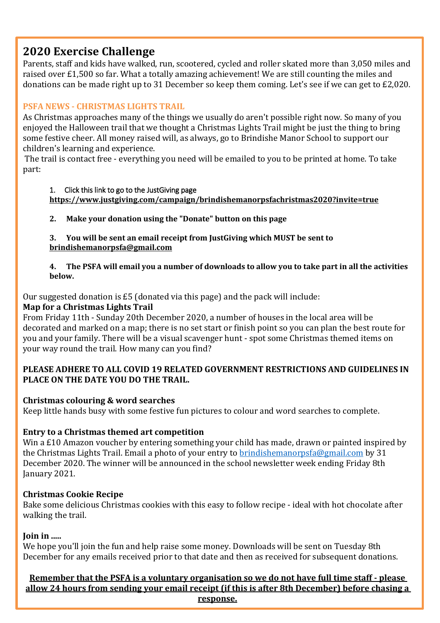# **2020 Exercise Challenge**

Parents, staff and kids have walked, run, scootered, cycled and roller skated more than 3,050 miles and raised over £1,500 so far. What a totally amazing achievement! We are still counting the miles and donations can be made right up to 31 December so keep them coming. Let's see if we can get to £2,020.

## **PSFA NEWS - CHRISTMAS LIGHTS TRAIL**

As Christmas approaches many of the things we usually do aren't possible right now. So many of you enjoyed the Halloween trail that we thought a Christmas Lights Trail might be just the thing to bring some festive cheer. All money raised will, as always, go to Brindishe Manor School to support our children's learning and experience.

 The trail is contact free - everything you need will be emailed to you to be printed at home. To take part:

#### 1. Click this link to go to the JustGiving page

**<https://www.justgiving.com/campaign/brindishemanorpsfachristmas2020?invite=true>**

**2. Make your donation using the "Donate" button on this page** 

**3. You will be sent an email receipt from JustGiving which MUST be sent to [brindishemanorpsfa@gmail.com](mailto:brindishemanorpsfa@gmail.com)** 

#### **4. The PSFA will email you a number of downloads to allow you to take part in all the activities below.**

Our suggested donation is £5 (donated via this page) and the pack will include:

## **Map for a Christmas Lights Trail**

From Friday 11th - Sunday 20th December 2020, a number of houses in the local area will be decorated and marked on a map; there is no set start or finish point so you can plan the best route for you and your family. There will be a visual scavenger hunt - spot some Christmas themed items on your way round the trail. How many can you find?

### **PLEASE ADHERE TO ALL COVID 19 RELATED GOVERNMENT RESTRICTIONS AND GUIDELINES IN PLACE ON THE DATE YOU DO THE TRAIL.**

### **Christmas colouring & word searches**

Keep little hands busy with some festive fun pictures to colour and word searches to complete.

### **Entry to a Christmas themed art competition**

Win a £10 Amazon voucher by entering something your child has made, drawn or painted inspired by the Christmas Lights Trail. Email a photo of your entry to [brindishemanorpsfa@gmail.com](mailto:brindishemanorpsfa@gmail.com) by 31 December 2020. The winner will be announced in the school newsletter week ending Friday 8th January 2021.

### **Christmas Cookie Recipe**

Bake some delicious Christmas cookies with this easy to follow recipe - ideal with hot chocolate after walking the trail.

### **Join in .....**

We hope you'll join the fun and help raise some money. Downloads will be sent on Tuesday 8th December for any emails received prior to that date and then as received for subsequent donations.

**Remember that the PSFA is a voluntary organisation so we do not have full time staff - please allow 24 hours from sending your email receipt (if this is after 8th December) before chasing a response.**